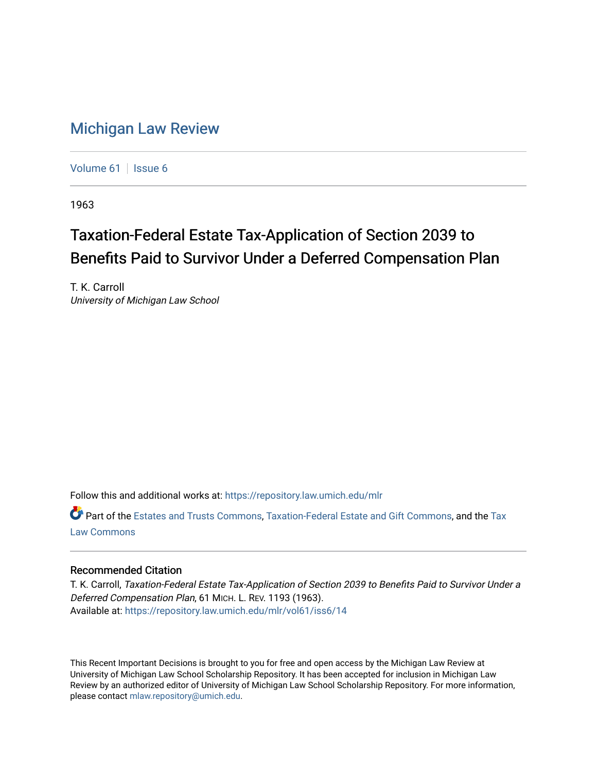## [Michigan Law Review](https://repository.law.umich.edu/mlr)

[Volume 61](https://repository.law.umich.edu/mlr/vol61) | [Issue 6](https://repository.law.umich.edu/mlr/vol61/iss6)

1963

## Taxation-Federal Estate Tax-Application of Section 2039 to Benefits Paid to Survivor Under a Deferred Compensation Plan

T. K. Carroll University of Michigan Law School

Follow this and additional works at: [https://repository.law.umich.edu/mlr](https://repository.law.umich.edu/mlr?utm_source=repository.law.umich.edu%2Fmlr%2Fvol61%2Fiss6%2F14&utm_medium=PDF&utm_campaign=PDFCoverPages) 

Part of the [Estates and Trusts Commons,](http://network.bepress.com/hgg/discipline/906?utm_source=repository.law.umich.edu%2Fmlr%2Fvol61%2Fiss6%2F14&utm_medium=PDF&utm_campaign=PDFCoverPages) [Taxation-Federal Estate and Gift Commons,](http://network.bepress.com/hgg/discipline/880?utm_source=repository.law.umich.edu%2Fmlr%2Fvol61%2Fiss6%2F14&utm_medium=PDF&utm_campaign=PDFCoverPages) and the [Tax](http://network.bepress.com/hgg/discipline/898?utm_source=repository.law.umich.edu%2Fmlr%2Fvol61%2Fiss6%2F14&utm_medium=PDF&utm_campaign=PDFCoverPages) [Law Commons](http://network.bepress.com/hgg/discipline/898?utm_source=repository.law.umich.edu%2Fmlr%2Fvol61%2Fiss6%2F14&utm_medium=PDF&utm_campaign=PDFCoverPages) 

## Recommended Citation

T. K. Carroll, Taxation-Federal Estate Tax-Application of Section 2039 to Benefits Paid to Survivor Under a Deferred Compensation Plan, 61 MICH. L. REV. 1193 (1963). Available at: [https://repository.law.umich.edu/mlr/vol61/iss6/14](https://repository.law.umich.edu/mlr/vol61/iss6/14?utm_source=repository.law.umich.edu%2Fmlr%2Fvol61%2Fiss6%2F14&utm_medium=PDF&utm_campaign=PDFCoverPages) 

This Recent Important Decisions is brought to you for free and open access by the Michigan Law Review at University of Michigan Law School Scholarship Repository. It has been accepted for inclusion in Michigan Law Review by an authorized editor of University of Michigan Law School Scholarship Repository. For more information, please contact [mlaw.repository@umich.edu.](mailto:mlaw.repository@umich.edu)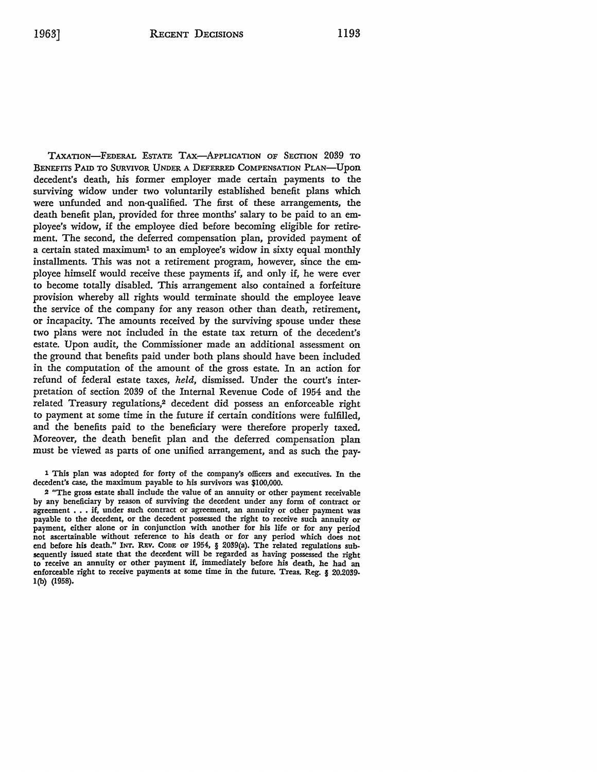TAXATION-FEDERAL ESTATE TAX-APPLICATION OF SECTION 2039 TO BENEFITS PAID To SURVIVOR UNDER A DEFERRED COMPENSATION PLAN-Upon decedent's death, his former employer made certain payments to the surviving widow under two voluntarily established benefit plans which were unfunded and non-qualified. The first of these arrangements, the death benefit plan, provided for three months' salary to be paid to an employee's widow, if the employee died before becoming eligible for retirement. The second, the deferred compensation plan, provided payment of a certain stated maximum1 to an employee's widow in sixty equal monthly installments. This was not a retirement program, however, since the employee himself would receive these payments if, and only if, he were ever to become totally disabled. This arrangement also contained a forfeiture provision whereby all rights would terminate should the employee leave the service of the company for any reason other than death, retirement, or incapacity. The amounts received by the surviving spouse under these two plans were not included in the estate tax return of the decedent's estate. Upon audit, the Commissioner made an additional assessment on the ground that benefits paid under both plans should have been included in the computation of the amount of the gross estate. In an action for refund of federal estate taxes, *held,* dismissed. Under the court's interpretation of section 2039 of the Internal Revenue Code of 1954 and the related Treasury regulations,2 decedent did possess an enforceable right to payment at some time in the future if certain conditions were fulfilled, and the benefits paid to the beneficiary were therefore properly taxed. Moreover, the death benefit plan and the deferred compensation plan must be viewed as parts of one unified arrangement, and as such the pay-

1 This plan was adopted for forty of the company's officers and executives. In the decedent's case, the maximum payable to his survivors was \$100,000.

2 "The gross estate shall include the value of an annuity or other payment receivable by any beneficiary by reason of surviving the decedent under any form of contract or agreement . . . if, under such contract or agreement, an annuity or other payment was payable to the decedent, or the decedent possessed the right to receive such annuity or payment, either alone or in conjunction with another for his life or for any period not ascertainable without reference to his death or for any period which does not end before his death." INT. REV. CODE OF 1954, § 2039(a). The related regulations subsequently issued state that the decedent will be regarded as having possessed the right to receive an annuity or other payment if, immediately before his death, he had an enforceable right to receive payments at some time in the future. Treas. Reg. § 20.2039· l(b) (1958),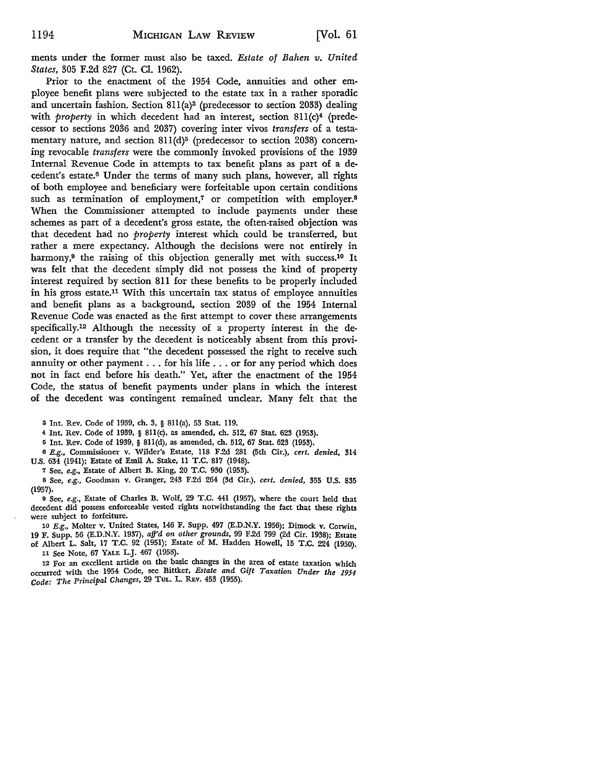ments under the former must also be taxed. *Estate of Bahen v. United States,* 305 F.2d 827 (Ct. Cl. 1962).

Prior to the enactment of the 1954 Code, annuities and other employee benefit plans were subjected to the estate tax in a rather sporadic and uncertain fashion. Section 8ll(a)3 (predecessor to section 2033) dealing with *property* in which decedent had an interest, section 811(c)<sup>4</sup> (predecessor to sections 2036 and 2037) covering inter vivos *trans/ ers* of a testamentary nature, and section  $811(d)^5$  (predecessor to section 2038) concerning revocable *transfers* were the commonly invoked provisions of the 1939 Internal Revenue Code in attempts to tax benefit plans as part of a decedent's estate.6 Under the terms of many such plans, however, all rights of both employee and beneficiary were forfeitable upon certain conditions such as termination of employment,<sup>7</sup> or competition with employer.<sup>8</sup> When the Commissioner attempted to include payments under these schemes as part of a decedent's gross estate, the often-raised objection was that decedent had no *property* interest which could be transferred, but rather a mere expectancy. Although the decisions were not entirely in harmony,<sup>9</sup> the raising of this objection generally met with success.<sup>10</sup> It was felt that the decedent simply did not possess the kind of property interest required by section 811 for these benefits to be properly included in his gross estate.11 With this uncertain tax status of employee annuities and benefit plans as a background, section 2039 of the 1954 Internal Revenue Code was enacted as the first attempt to cover these arrangements specifically.12 Although the necessity of a property interest in the decedent or a transfer by the decedent is noticeably absent from this provision, it does require that "the decedent possessed the right to receive such annuity or other payment ... for his life ... or for any period which does not in fact end before his death." Yet, after the enactment of the 1954 Code, the status of benefit payments under plans in which the interest of the decedent was contingent remained unclear. Many felt that the

<sup>3</sup>Int. Rev. Code of 1939, ch. 3, § 8ll(a), 53 Stat. 119.

4 Int. Rev. Code of 1939, § 8ll(c), as amended, ch. 512, 67 Stat. 623 (1953).

5 Int. Rev. Code of 1939, § 8ll(d), as amended, ch. 512, 67 Stat. 623 (1953).

<sup>6</sup>*E.g.,* Commissioner v. Wilder's Estate, 118 F.2d 281 (5th Cir.), *cert. denied,* 314 U.S. 634 (1941); Estate of Emil A. Stake, 11 T.C. 817 (1948).

7 See, *e.g.,* Estate of Albert B. King, 20 T.C. 930 (1953).

8 See, *e.g.,* Goodman v. Granger, 243 F.2d 264 (3d Cir.), *cert. denied,* 355 U.S. 835 (1957).

9 See, *e.g.*, Estate of Charles B. Wolf, 29 T.C. 441 (1957), where the court held that decedent did possess enforceable vested rights notwithstanding the fact that these rights were subject to forfeiture.

10 *E.g.,* Molter v. United States, 146 F. Supp. 497 (E.D.N.Y. 1956); Dimock v. Corwin, 19 F. Supp. 56 (E.D.N.Y. 1937), *affd on other grounds,* 99 F.2d 799 (2d Cir. 1938); Estate of Albert L. Salt, 17 T.C. 92 (1951); Estate of **M.** Hadden Howell, 15 T.C. 224 (1950).

<sup>11</sup>See Note, 67 YALE L.J. 467 (1958).

12 For an excellent article on the basic changes in the area of estate taxation which occurred· with the 1954 Code, see Bittker, *Estate and Gift Taxation Under the 1954 Code: The Principal Changes,* 29 TuL. L. REv. 453 (1955).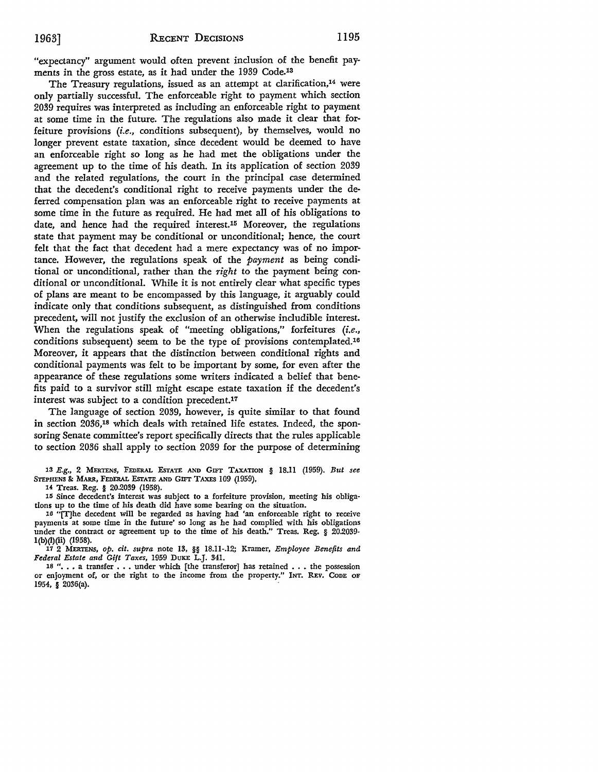"expectancy" argument would often prevent inclusion of the benefit payments in the gross estate, as it had under the 1939 Code.<sup>13</sup>

The Treasury regulations, issued as an attempt at clarification,<sup>14</sup> were only partially successful. The enforceable right to payment which section 2039 requires was interpreted as including an enforceable right to payment at some time in the future. The regulations also made it clear that forfeiture provisions *(i.e.,* conditions subsequent), by themselves, would no longer prevent estate taxation, since decedent would be deemed to have an enforceable right so long as he had met the obligations under the agreement up to the time of his death. In its application of section 2039 and the related regulations, the court in the principal case determined that the decedent's conditional right to receive payments under the deferred compensation plan was an enforceable right to receive payments at some time in the future as required. He had met all of his obligations to date, and hence had the required interest.15 Moreover, the regulations state that payment may be conditional or unconditional; hence, the court felt that the fact that decedent had a mere expectancy was of no importance. However, the regulations speak of the *payment* as being conditional or unconditional, rather than the *right* to the payment being conditional or unconditional. 'While it is not entirely clear what specific types of plans are meant to be encompassed by this language, it arguably could indicate only that conditions subsequent, as distinguished from conditions precedent, will not justify the exclusion of an otherwise includible interest. When the regulations speak of "meeting obligations," forfeitures *(i.e.,*  conditions subsequent) seem to be the type of provisions contemplated.16 Moreover, it appears that the distinction between conditional rights and conditional payments was felt to be important by some, for even after the appearance of these regulations some writers indicated a belief that benefits paid to a survivor still might escape estate taxation if the decedent's interest was subject to a condition precedent.17

The language of section 2039, however, is quite similar to that found in section 2036,18 which deals with retained life estates. Indeed, the sponsoring Senate committee's report specifically directs that the rules applicable to section 2036 shall apply to section 2039 for the purpose of determining

<sup>13</sup>*E.g.,* 2 MERTENS, FEDERAL EsrATE AND GIFT TAXATION § 18.11 (1959). *But see*  STEPHENS & MARR, FEDERAL ESTATE AND GIFT TAXES 109 (1959),

*14* Treas. Reg. § 20.2039 (1958).

15 Since decedent's interest was subject to a forfeiture provision, meeting his obligations up to the time of his death did have some bearing on the situation.

16 "[T)he decedent will be regarded as having had 'an enforceable right to receive payments at some time in the future' so long as he had complied with his obligations under the contract or agreement up to the time of his death." Treas. Reg. § 20.2039 l(b)(l)(ii) (1958).

17 2 MERTENS, *op. cit. supra* note 13, §§ 18.11-.12; Kramer, *Employee Benefits and Federal Estate and Gift Taxes,* 1959 DuKE L.J. 341.

18 "... a transfer ... under which [the transferor] has retained ... the possession or enjoyment of, or the right to the income from the property." INT. REv. CODE OF 1954, § 2036(a).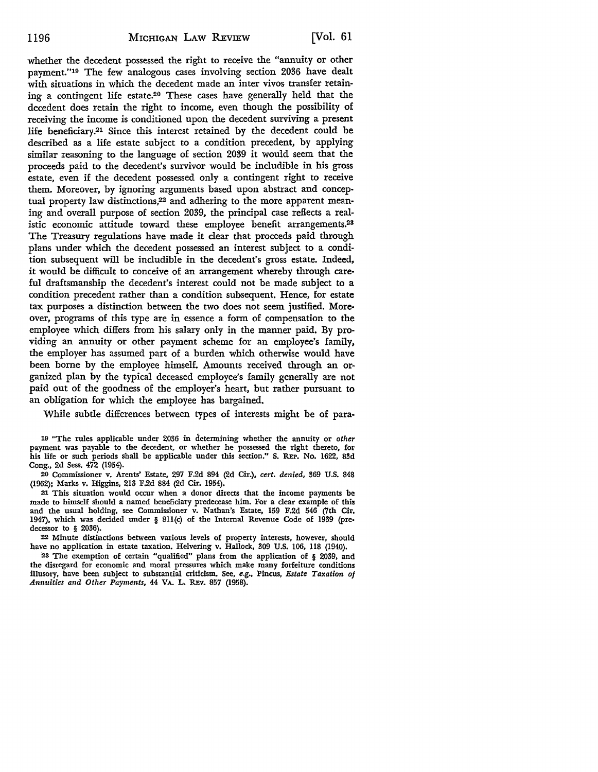whether the decedent possessed the right to receive the "annuity or other payment."19 The few analogous cases involving section 2036 have dealt with situations in which the decedent made an inter vivos transfer retaining a contingent life estate.20 These cases have generally held that the decedent does retain the right to income, even though the possibility of receiving the income is conditioned upon the decedent surviving a present life beneficiary.21 Since this interest retained by the decedent could be described as a life estate subject to a condition precedent, by applying similar reasoning to the language of section 2039 it would seem that the proceeds paid to the decedent's survivor would be includible in his gross estate, even if the decedent possessed only a contingent right to receive them. Moreover, by ignoring arguments based upon abstract and conceptual property law distinctions,<sup>22</sup> and adhering to the more apparent meaning and overall purpose of section 2039, the principal case reflects a realistic economic attitude toward these employee benefit arrangements.28 The Treasury regulations have made it clear that proceeds paid through plans under which the decedent possessed an interest subject to a condition subsequent will be includible in the decedent's gross estate. Indeed, it would be difficult to conceive of an arrangement whereby through careful draftsmanship the decedent's interest could not be made subject to a condition precedent rather than a condition subsequent. Hence, for estate tax purposes a distinction between the two does not seem justified. Moreover, programs of this type are in essence a form of compensation to the employee which differs from his salary only in the manner paid. By providing an annuity or other payment scheme for an employee's family, the employer has assumed part of a burden which otherwise would have been borne by the employee himself. Amounts received through an organized plan by the typical deceased employee's family generally are not paid out of the goodness of the employer's heart, but rather pursuant to an obligation for which the employee has bargained.

While subtle differences between types of interests might be of para-

19 "The rules applicable under 2036 in determining whether the annuity or *other*  payment was payable to the decedent, or whether he possessed the right thereto, for his life or such periods shall be applicable under this section." S. REP. No. 1622, 83d Cong., 2d Sess. 472 (1954).

20 Commissioner v. Arents' Estate, 297 F.2d 894 (2d Cir.), *cert. denied,* !169 U.S. 848 (1962); Marks v. Higgins, 213 F.2d 884 (2d Cir. 1954).

21 This situation would occur when a donor directs that the income payments be made to himself should a named beneficiary predecease him. For a clear example of this and the usual holding, see Commissioner v. Nathan's Estate, 159 F.2d 546 (7th Cir. 1947), which was decided under § 8ll(c) of the Internal Revenue Code of 1939 (pre, decessor to § 2036).

:22 Minute distinctions between various levels of property interests, however, should have no application in estate taxation. Helvering v. Hallock, 309 U.S. 106, 118 (1940).

23 The exemption of certain "qualified" plans from the application of § 2039, and the disregard for economic and moral pressures which make many forfeiture conditions illusory, have been subject to substantial criticism. See, *e.g.,* Pincus, *Estate Taxation of Annuities and Other Payments,* 44 VA. L. REv. 857 (1958).